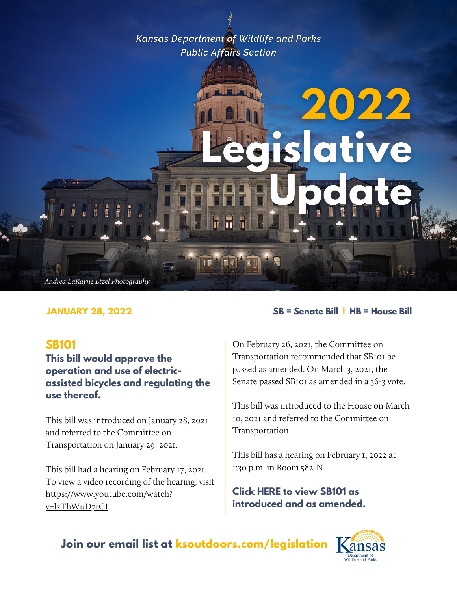**Kansas Department of Wildlife and Parks Public Affairs Section** 

# 2022 slative Andrea LaRayne Etzel Photography

#### **SB101**

**This bill would approve the operation and use of electricassisted bicycles and regulating the use thereof.**

This bill was introduced on January 28, 2021 and referred to the Committee on Transportation on January 29, 2021.

This bill had a hearing on February 17, 2021. To view a video recording of the hearing, visit [https://www.youtube.com/watch?](https://www.youtube.com/watch?v=lzThWuD7tGI) v=lzThWuD7tGI.

#### **JANUARY 28, 2022 SB = Senate Bill | HB = House Bill**

On February 26, 2021, the Committee on Transportation recommended that SB101 be passed as amended. On March 3, 2021, the Senate passed SB101 as amended in a 36-3 vote.

This bill was introduced to the House on March 10, 2021 and referred to the Committee on Transportation.

This bill has a hearing on February 1, 2022 at 1:30 p.m. in Room 582-N.

**Click [HERE](http://kslegislature.org/li/b2021_22/measures/sb101/) to view SB101 as introduced and as amended.**

**Join our email list at ksoutdoors.com/legislation**

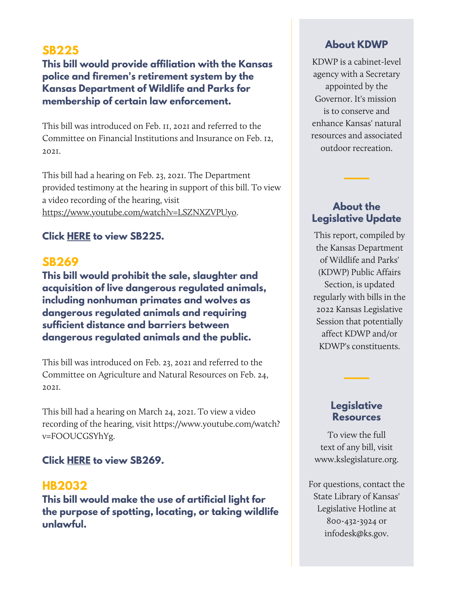# **SB225**

**This bill would provide affiliation with the Kansas police and firemen's retirement system by the Kansas Department of Wildlife and Parks for membership of certain law enforcement.**

This bill was introduced on Feb. 11, 2021 and referred to the Committee on Financial Institutions and Insurance on Feb. 12, 2021.

This bill had a hearing on Feb. 23, 2021. The Department provided testimony at the hearing in support of this bill. To view a video recording of the hearing, visit [https://www.youtube.com/watch?v=LSZNXZVPUyo.](https://www.youtube.com/watch?v=LSZNXZVPUyo)

#### **Click [HERE](http://kslegislature.org/li/b2021_22/measures/sb225/) to view SB225.**

# **SB269**

**This bill would prohibit the sale, slaughter and acquisition of live dangerous regulated animals, including nonhuman primates and wolves as dangerous regulated animals and requiring sufficient distance and barriers between dangerous regulated animals and the public.**

This bill was introduced on Feb. 23, 2021 and referred to the Committee on Agriculture and Natural Resources on Feb. 24, 2021.

This bill had a hearing on March 24, 2021. To view a video recording of the hearing, visit [https://www.youtube.com/watch?](https://www.youtube.com/watch?v=FOOUCGSYhYg) v=FOOUCGSYhYg.

#### **Click [HERE](http://kslegislature.org/li/b2021_22/measures/sb269/) to view SB269.**

#### **HB2032**

**This bill would make the use of artificial light for the purpose of spotting, locating, or taking wildlife unlawful.**

#### **About KDWP**

KDWP is a cabinet-level agency with a Secretary appointed by the Governor. It's mission is to conserve and enhance Kansas' natural resources and associated outdoor recreation.

#### **About the Legislative Update**

This report, compiled by the Kansas Department of Wildlife and Parks' (KDWP) Public Affairs Section, is updated regularly with bills in the 2022 Kansas Legislative Session that potentially affect KDWP and/or KDWP's constituents.

#### **Legislative Resources**

To view the full text of any bill, visit www.kslegislature.org.

For questions, contact the State Library of Kansas' Legislative Hotline at 800-432-3924 or infodesk@ks.gov.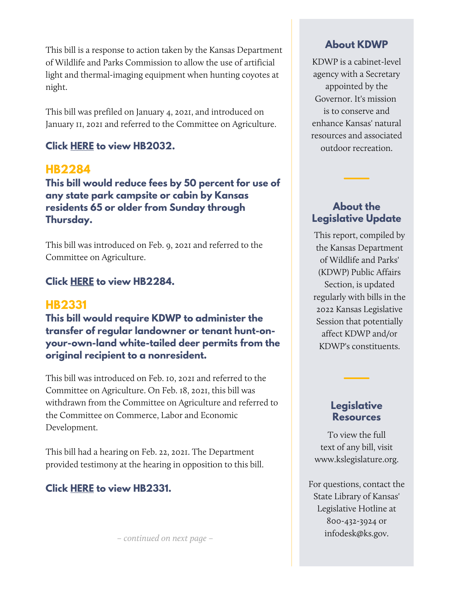This bill is a response to action taken by the Kansas Department of Wildlife and Parks Commission to allow the use of artificial light and thermal-imaging equipment when hunting coyotes at night.

This bill was prefiled on January 4, 2021, and introduced on January 11, 2021 and referred to the Committee on Agriculture.

# **Click [HERE](http://kslegislature.org/li/b2021_22/measures/hb2032/) to view HB2032.**

# **HB2284**

**This bill would reduce fees by 50 percent for use of any state park campsite or cabin by Kansas residents 65 or older from Sunday through Thursday.**

This bill was introduced on Feb. 9, 2021 and referred to the Committee on Agriculture.

# **Click [HERE](http://kslegislature.org/li/b2021_22/measures/hb2284/) to view HB2284.**

# **HB2331**

**This bill would require KDWP to administer the transfer of regular landowner or tenant hunt-onyour-own-land white-tailed deer permits from the original recipient to a nonresident.**

This bill was introduced on Feb. 10, 2021 and referred to the Committee on Agriculture. On Feb. 18, 2021, this bill was withdrawn from the Committee on Agriculture and referred to the Committee on Commerce, Labor and Economic Development.

This bill had a hearing on Feb. 22, 2021. The Department provided testimony at the hearing in opposition to this bill.

#### **Click [HERE](http://kslegislature.org/li/b2021_22/measures/hb2331/) to view HB2331.**

– continued on next page –

#### **About KDWP**

KDWP is a cabinet-level agency with a Secretary appointed by the Governor. It's mission is to conserve and enhance Kansas' natural resources and associated outdoor recreation.

# **About the Legislative Update**

This report, compiled by the Kansas Department of Wildlife and Parks' (KDWP) Public Affairs Section, is updated regularly with bills in the 2022 Kansas Legislative Session that potentially affect KDWP and/or KDWP's constituents.

#### **Legislative Resources**

To view the full text of any bill, visit www.kslegislature.org.

For questions, contact the State Library of Kansas' Legislative Hotline at 800-432-3924 or infodesk@ks.gov.